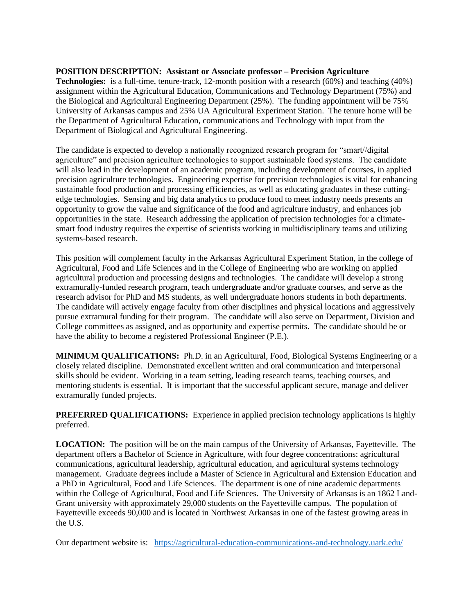## **POSITION DESCRIPTION: Assistant or Associate professor – Precision Agriculture**

**Technologies:** is a full-time, tenure-track, 12-month position with a research (60%) and teaching (40%) assignment within the Agricultural Education, Communications and Technology Department (75%) and the Biological and Agricultural Engineering Department (25%). The funding appointment will be 75% University of Arkansas campus and 25% UA Agricultural Experiment Station. The tenure home will be the Department of Agricultural Education, communications and Technology with input from the Department of Biological and Agricultural Engineering.

The candidate is expected to develop a nationally recognized research program for "smart//digital agriculture" and precision agriculture technologies to support sustainable food systems. The candidate will also lead in the development of an academic program, including development of courses, in applied precision agriculture technologies. Engineering expertise for precision technologies is vital for enhancing sustainable food production and processing efficiencies, as well as educating graduates in these cuttingedge technologies. Sensing and big data analytics to produce food to meet industry needs presents an opportunity to grow the value and significance of the food and agriculture industry, and enhances job opportunities in the state. Research addressing the application of precision technologies for a climatesmart food industry requires the expertise of scientists working in multidisciplinary teams and utilizing systems-based research.

This position will complement faculty in the Arkansas Agricultural Experiment Station, in the college of Agricultural, Food and Life Sciences and in the College of Engineering who are working on applied agricultural production and processing designs and technologies. The candidate will develop a strong extramurally-funded research program, teach undergraduate and/or graduate courses, and serve as the research advisor for PhD and MS students, as well undergraduate honors students in both departments. The candidate will actively engage faculty from other disciplines and physical locations and aggressively pursue extramural funding for their program. The candidate will also serve on Department, Division and College committees as assigned, and as opportunity and expertise permits. The candidate should be or have the ability to become a registered Professional Engineer (P.E.).

**MINIMUM QUALIFICATIONS:** Ph.D. in an Agricultural, Food, Biological Systems Engineering or a closely related discipline. Demonstrated excellent written and oral communication and interpersonal skills should be evident. Working in a team setting, leading research teams, teaching courses, and mentoring students is essential. It is important that the successful applicant secure, manage and deliver extramurally funded projects.

**PREFERRED QUALIFICATIONS:** Experience in applied precision technology applications is highly preferred.

**LOCATION:** The position will be on the main campus of the University of Arkansas, Fayetteville. The department offers a Bachelor of Science in Agriculture, with four degree concentrations: agricultural communications, agricultural leadership, agricultural education, and agricultural systems technology management. Graduate degrees include a Master of Science in Agricultural and Extension Education and a PhD in Agricultural, Food and Life Sciences. The department is one of nine academic departments within the College of Agricultural, Food and Life Sciences. The University of Arkansas is an 1862 Land-Grant university with approximately 29,000 students on the Fayetteville campus. The population of Fayetteville exceeds 90,000 and is located in Northwest Arkansas in one of the fastest growing areas in the U.S.

Our department website is: <https://agricultural-education-communications-and-technology.uark.edu/>